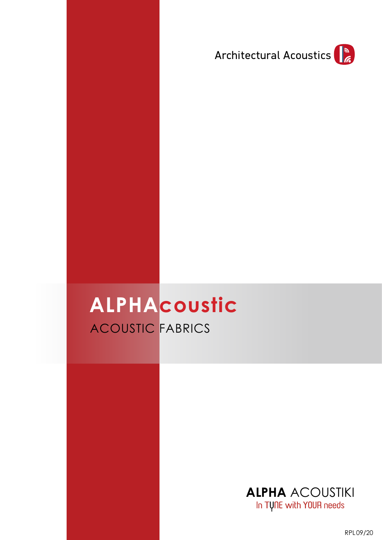

# ACOUSTIC FABRICS **ALPHAcoustic**



RPL09/20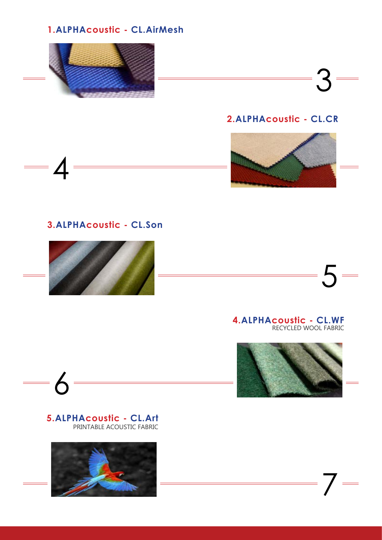### **1.ALPHAcoustic - CL.AirMesh**



# **2.ALPHAcoustic - CL.CR**

3



## **3.ALPHAcoustic - CL.Son**





#### **4.ALPHAcoustic - CL.WF** RECYCLED WOOL FABRIC



7

#### PRINTABLE ACOUSTIC FABRIC **5.ALPHAcoustic - CL.Art**

6

 $\equiv$ 

4

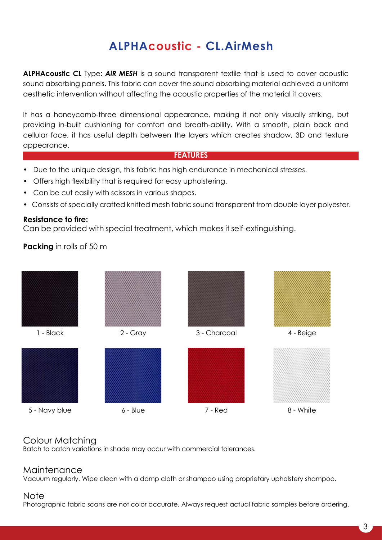# **ALPHAcoustic - CL.AirMesh**

**ALPHAcoustic** *CL* Type: *AiR MESH* is a sound transparent textile that is used to cover acoustic sound absorbing panels. This fabric can cover the sound absorbing material achieved a uniform aesthetic intervention without affecting the acoustic properties of the material it covers.

It has a honeycomb-three dimensional appearance, making it not only visually striking, but providing in-built cushioning for comfort and breath-ability. With a smooth, plain back and cellular face, it has useful depth between the layers which creates shadow, 3D and texture appearance.

#### **FEATURES**

- Due to the unique design, this fabric has high endurance in mechanical stresses.
- Offers high flexibility that is required for easy upholstering.
- Can be cut easily with scissors in various shapes.
- Consists of specially crafted knitted mesh fabric sound transparent from double layer polyester.

#### **Resistance to fire:**

Can be provided with special treatment, which makes it self-extinguishing.

**Packing** in rolls of 50 m



#### Colour Matching

Batch to batch variations in shade may occur with commercial tolerances.

#### Maintenance

Vacuum regularly. Wipe clean with a damp cloth or shampoo using proprietary upholstery shampoo.

#### Note

Photographic fabric scans are not color accurate. Always request actual fabric samples before ordering.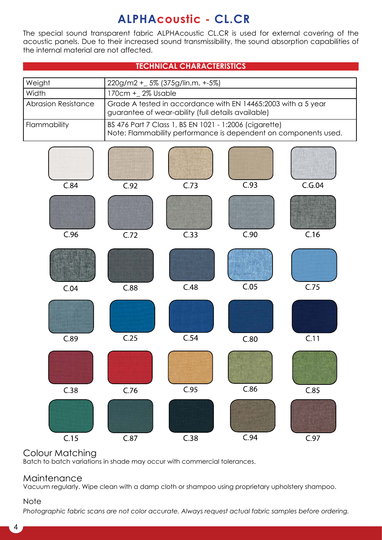# **ALPHAcoustic - CL.CR**

The special sound transparent fabric ALPHAcoustic CL.CR is used for external covering of the acoustic panels. Due to their increased sound transmissibility, the sound absorption capabilities of the internal material are not affected.

|                            |                                                                                                                     | <b>TECHNICAL CHARACTERISTICS</b> |                                                                                                                           |        |
|----------------------------|---------------------------------------------------------------------------------------------------------------------|----------------------------------|---------------------------------------------------------------------------------------------------------------------------|--------|
| Weight                     | 220g/m2 + _ 5% (375g/lin.m. +-5%)                                                                                   |                                  |                                                                                                                           |        |
| Width                      | 170cm + 2% Usable                                                                                                   |                                  |                                                                                                                           |        |
| <b>Abrasion Resistance</b> | Grade A tested in accordance with EN 14465:2003 with a 5 year<br>guarantee of wear-ability (full details available) |                                  |                                                                                                                           |        |
| Flammability               |                                                                                                                     |                                  | BS 476 Part 7 Class 1, BS EN 1021 - 1:2006 (cigarette)<br>Note: Flammability performance is dependent on components used. |        |
|                            |                                                                                                                     |                                  |                                                                                                                           |        |
| C.84                       | C.92                                                                                                                | C.73                             | C.93                                                                                                                      | C.G.04 |
| C.96                       | C.72                                                                                                                | C.33                             | C.90                                                                                                                      | C.16   |
| C.04                       | C.88                                                                                                                | C.48                             | C.05                                                                                                                      | C.75   |
| C.89                       | C.25                                                                                                                | C.54                             | C.80                                                                                                                      | C.11   |
|                            |                                                                                                                     |                                  |                                                                                                                           |        |
| C.38                       | C.76                                                                                                                | C.95                             | C.86                                                                                                                      | C.85   |
| C.15                       | C.87                                                                                                                | C.38                             | C.94                                                                                                                      | C.97   |

### Colour Matching

Batch to batch variations in shade may occur with commercial tolerances.

#### **Maintenance**

Vacuum regularly. Wipe clean with a damp cloth or shampoo using proprietary upholstery shampoo.

#### Note

*Photographic fabric scans are not color accurate. Always request actual fabric samples before ordering.*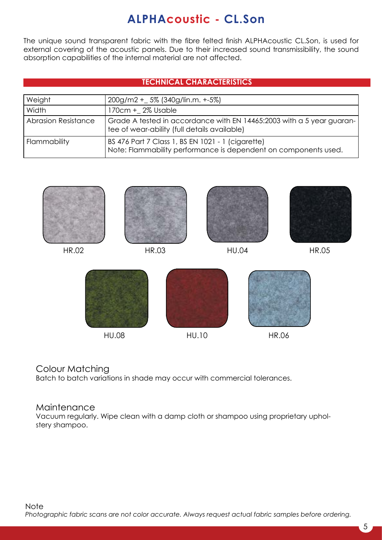# **ALPHAcoustic - CL.Son**

The unique sound transparent fabric with the fibre felted finish ALPHAcoustic CL.Son, is used for external covering of the acoustic panels. Due to their increased sound transmissibility, the sound absorption capabilities of the internal material are not affected.

#### **TECHNICAL CHARACTERISTICS**

| Weight              | $200g/m2 + 5\% (340g/lin.m. +5\%)$                                                                                    |
|---------------------|-----------------------------------------------------------------------------------------------------------------------|
| Width               | 170cm + 2% Usable                                                                                                     |
| Abrasion Resistance | Grade A tested in accordance with EN 14465:2003 with a 5 year guaran-<br>tee of wear-ability (full details available) |
| Flammability        | BS 476 Part 7 Class 1, BS EN 1021 - 1 (cigarette)<br>Note: Flammability performance is dependent on components used.  |



HU.08 HU.10

HR.06

### Colour Matching

Batch to batch variations in shade may occur with commercial tolerances.

#### **Maintenance**

Vacuum regularly. Wipe clean with a damp cloth or shampoo using proprietary upholstery shampoo.

5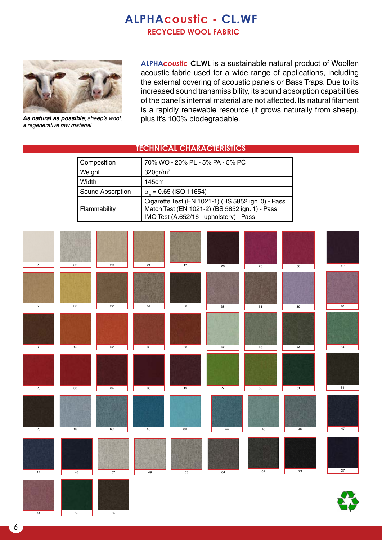# **RECYCLED WOOL FABRIC ALPHAcoustic - CL.WF**



*a regenerative raw material*

**ALPHA***coustic* **CL.WL** is a sustainable natural product of Woollen acoustic fabric used for a wide range of applications, including the external covering of acoustic panels or Bass Traps. Due to its increased sound transmissibility, its sound absorption capabilities of the panel's internal material are not affected. Its natural filament is a rapidly renewable resource (it grows naturally from sheep), As natural as possible; sheep's wool, plus it's 100% biodegradable.

#### **TECHNICAL CHARACTERISTICS**

| Composition      | 70% WO - 20% PL - 5% PA - 5% PC                                                                                                                 |  |
|------------------|-------------------------------------------------------------------------------------------------------------------------------------------------|--|
| <b>Weight</b>    | $320$ gr/m <sup>2</sup>                                                                                                                         |  |
| Width            | 145cm                                                                                                                                           |  |
| Sound Absorption | $\alpha_{w}$ = 0.65 (ISO 11654)                                                                                                                 |  |
| Flammability     | Cigarette Test (EN 1021-1) (BS 5852 ign. 0) - Pass<br>Match Test (EN 1021-2) (BS 5852 ign. 1) - Pass<br>IMO Test (A.652/16 - upholstery) - Pass |  |

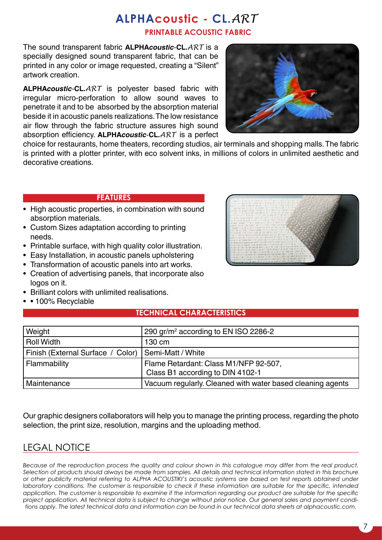# **PRINTABLE ACOUSTIC FABRIC ALPHAcoustic - CL.***ART*

The sound transparent fabric **ALPHA***coustic*-**CL.***ART* is a specially designed sound transparent fabric, that can be printed in any color or image requested, creating a "Silent" artwork creation.

**ALPHA***coustic*-**CL.***ART* is polyester based fabric with irregular micro-perforation to allow sound waves to penetrate it and to be absorbed by the absorption material beside it in acoustic panels realizations. The low resistance air flow through the fabric structure assures high sound absorption efficiency. **ALPHA***coustic*-**CL.***ART* is a perfect



choice for restaurants, home theaters, recording studios, air terminals and shopping malls. The fabric is printed with a plotter printer, with eco solvent inks, in millions of colors in unlimited aesthetic and decorative creations.

#### **FEATURES**

- High acoustic properties, in combination with sound absorption materials.
- Custom Sizes adaptation according to printing needs.
- Printable surface, with high quality color illustration.
- Easy Installation, in acoustic panels upholstering
- Transformation of acoustic panels into art works.
- Creation of advertising panels, that incorporate also logos on it.
- Brilliant colors with unlimited realisations.
- • 100% Recyclable

#### **TECHNICAL CHARACTERISTICS**

| Weight                            | 290 gr/m <sup>2</sup> according to EN ISO 2286-2           |
|-----------------------------------|------------------------------------------------------------|
| <b>Roll Width</b>                 | 130 cm                                                     |
| Finish (External Surface / Color) | Semi-Matt / White                                          |
| Flammability                      | Flame Retardant: Class M1/NFP 92-507,                      |
|                                   | Class B1 according to DIN 4102-1                           |
| Maintenance                       | Vacuum regularly. Cleaned with water based cleaning agents |

Our graphic designers collaborators will help you to manage the printing process, regarding the photo selection, the print size, resolution, margins and the uploading method.

# LEGAL NOTICE

*Because of the reproduction process the quality and colour shown in this catalogue may differ from the real product. Selection of products should always be made from samples. All details and technical information stated in this brochure or other publicity material referring to ALPHA ACOUSTIKI's acoustic systems are based on test reports obtained under laboratory conditions. The customer is responsible to check if these information are suitable for the specific, intended application. The customer is responsible to examine if the information regarding our product are suitable for the specific project application. All technical data is subject to change without prior notice. Our general sales and payment conditions apply. The latest technical data and information can be found in our technical data sheets at alphacoustic.com.*